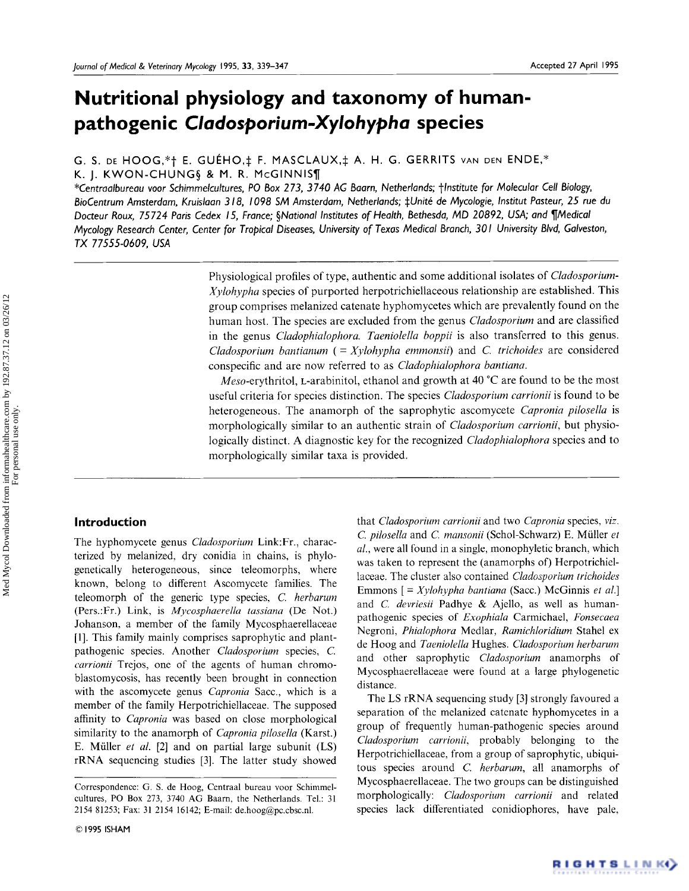# **Nutritional physiology and taxonomy of humanpathogenic** *Cladosporium-Xylohypha* **species**

G. S. DE HOOG,\*† E. GUÉHO,‡ F. MASCLAUX,‡ A. H. G. GERRITS VAN DEN ENDE,\* K. J. KWON-CHUNG§ & M. R. McGINNIS¶

*\*Centraalbureau voor Schimmelcultures, PO Box 273, 3740 AG Baarn, Netherlands; tlnstitute for Molecular Cell Biology,*  BioCentrum Amsterdam, Kruislaan 318, 1098 SM Amsterdam, Netherlands; ‡Unité de Mycologie, Institut Pasteur, 25 rue du *Docteur Roux, 75724 Paris Cedex 15, France; §National Institutes of Health, Bethesda, MD 20892, USA; and ¶Medical Mycology Research Center, Center for Tropical Diseases, University of Texas Medical Branch, 301 University Blvd, Galveston, TX 77555-0609, USA* 

> Physiological profiles of type, authentic and some additional isolates of *Cladosporium*-*Xylohypha* species of purported herpotrichiellaceous relationship are established. This group comprises melanized catenate hyphomycetes which are prevalently found on the human host. The species are excluded from the genus *Cladosporium* and are classified in the genus *Cladophialophora. Taeniolella boppii* is also transferred to this genus. *Cladosporium bantianum (= Xylohypha emmonsii)* and *C. trichoides* are considered conspecific and are now referred to as *Cladophialophora bantiana.*

> *Meso-erythritol,* L-arabinitol, ethanol and growth at 40 °C are found to be the most useful criteria for species distinction. The species *Cladosporium carrionii* is found to be heterogeneous. The anamorph of the saprophytic ascomycete *Capronia pilosella* is morphologically similar to an authentic strain of *Cladosporium carrionii,* but physiologically distinct. A diagnostic key for the recognized *Cladophialophora* species and to morphologically similar taxa is provided.

## **Introduction**

The hyphomycete genus *Cladosporium* Link:Ft., characterized by melanized, dry conidia in chains, is phylogenetically heterogeneous, since teleomorphs, where known, belong to different Ascomycete families. The teleomorph of the generic type species, *C. herbarum*  (Pers.:Fr.) Link, is *Mycosphaerella tassiana* (De Not.) Johanson, a member of the family Mycosphaerellaceae [1]. This family mainly comprises saprophytic and plantpathogenic species. Another *Clado3porium* species, C. *carrionii* Trejos, one of the agents of human chromoblastomycosis, has recently been brought in connection with the ascomycete genus *Capronia* Sacc., which is a member of the family Herpotrichiellaceae. The supposed affinity to *Capronia* was based on close morphological similarity to the anamorph of *Capronia pilosella* (Karst.) E. M(iller *et al.* [2] and on partial large subunit (LS) rRNA sequencing studies [3]. The latter study showed

that *Cladosporium carrionii* and two *Capronia* species, *viz. C. pilosella* and *C. mansonii* (Schol-Schwarz) E. Mfiller *et al.,* were all found in a single, monophyletic branch, which was taken to represent the (anamorphs of) Herpotrichiellaceae. The cluster also contained *Cladosporium trichoides*  Emmons [ = *Xylohypha bantiana* (Sacc.) McGinnis *et al.]*  and *C. devriesii* Padhye & Ajello, as well as humanpathogenic species of *Exophiala* Carmichael, *Fonsecaea*  Negroni, *Phialophora* Medlar, *Ramichloridium* Stahel ex de Hoog and *Taeniolella* Hughes. *Cladosporium herbarum*  and other saprophytic *Cladosporium* anamorphs of Mycosphaerellaceae were found at a large phylogenetic distance.

The LS rRNA sequencing study [3] strongly favoured a separation of the melanized catenate hyphomycetes in a group of frequently human-pathogenic species around *Cladosporium carrionii,* probably belonging to the Herpotrichiellaceae, from a group of saprophytic, ubiquitous species around *C. herbarum,* all anamorphs of Mycosphaerellaceae. The two groups can be distinguished morphologically: *Cladosporium carrionii* and related species lack differentiated conidiophores, have pale,

RIGHTSLINK()

Correspondence: G. S. de Hoog, Centraal bureau voor Schimmelcultures, PO Box 273, 3740 AG Baarn, the Netherlands. Tel.: 31 2154 81253; Fax: 31 2154 16142; E-mail: de.hoog@pc.cbsc.nl.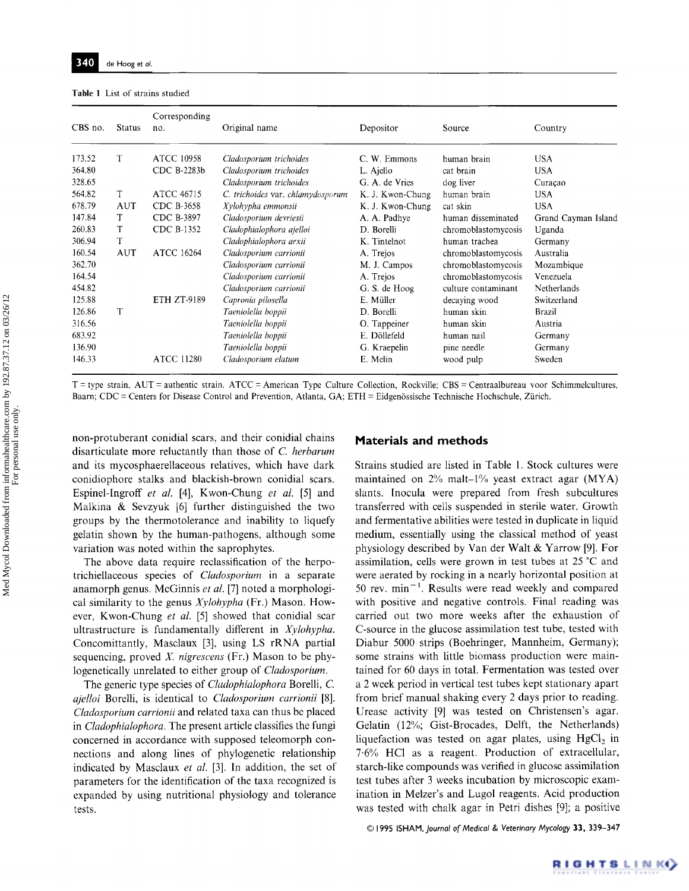#### **Table** 1 List of strains studied

| CBS no. | <b>Status</b> | Corresponding<br>no. | Original name                     | Depositor        | Source              | Country             |
|---------|---------------|----------------------|-----------------------------------|------------------|---------------------|---------------------|
|         |               |                      |                                   |                  |                     |                     |
| 173.52  | T             | <b>ATCC 10958</b>    | Cladosporium trichoides           | C. W. Emmons     | human brain         | <b>USA</b>          |
| 364.80  |               | CDC B-2283b          | Cladosporium trichoides           | L. Ajello        | cat brain           | <b>USA</b>          |
| 328.65  |               |                      | Cladosporium trichoides           | G. A. de Vries   | dog liver           | Curação             |
| 564.82  | T             | ATCC 46715           | C. trichoides var. chlamydosporum | K. J. Kwon-Chung | human brain         | <b>USA</b>          |
| 678.79  | <b>AUT</b>    | CDC B-3658           | Xylohypha emmonsii                | K. J. Kwon-Chung | cat skin            | <b>USA</b>          |
| 147.84  | T             | CDC B-3897           | Cladosporium devriesii            | A. A. Padhye     | human disseminated  | Grand Cayman Island |
| 260.83  | T             | CDC B-1352           | Cladophialophora ajelloi          | D. Borelli       | chromoblastomycosis | Uganda              |
| 306.94  | T             |                      | Cladophialophora arxii            | K. Tintelnot     | human trachea       | Germany             |
| 160.54  | AUT           | ATCC 16264           | Cladosporium carrionii            | A. Trejos        | chromoblastomycosis | Australia           |
| 362.70  |               |                      | Cladosporium carrionii            | M. J. Campos     | chromoblastomycosis | Mozambique          |
| 164.54  |               |                      | Cladosporium carrionii            | A. Trejos        | chromoblastomycosis | Venezuela           |
| 454.82  |               |                      | Cladosporium carrionii            | G. S. de Hoog    | culture contaminant | Netherlands         |
| 125.88  |               | <b>ETH ZT-9189</b>   | Capronia pilosella                | E. Muller        | decaying wood       | Switzerland         |
| 126.86  | T             |                      | Taeniolella boppii                | D. Borelli       | human skin          | Brazil              |
| 316.56  |               |                      | Taeniolella boppii                | O. Tappeiner     | human skin          | Austria             |
| 683.92  |               |                      | Taeniolella boppii                | E. Döllefeld     | human nail          | Germany             |
| 136.90  |               |                      | Taeniolella boppii                | G. Kraepelin     | pine needle         | Germany             |
| 146.33  |               | <b>ATCC 11280</b>    | Cladosporium elatum               | E. Melin         | wood pulp           | Sweden              |

T = type strain, AUT = authentic strain. ATCC = American Type Culture Collection, Rockville; CBS = Centraalbureau voor Schimmelcultures, Baarn; CDC = Centers for Disease Control and Prevention, Atlanta, GA; ETH = Eidgenössische Technische Hochschule, Zürich.

non-protuberant conidial scars, and their conidial chains disarticulate more reluctantly than those of *C. herbarum*  and its mycosphaerellaceous relatives, which have dark conidiophore stalks and blackish-brown conidial scars. Espinel-Ingroff *et al.* [4], Kwon-Chung *et al.* [5] and Malkina & Sevzyuk [6] further distinguished the two groups by the thermotolerance and inability to liquefy gelatin shown by the human-pathogens, although some variation was noted within the saprophytes.

The above data require reclassification of the herpotrichiellaceous species of *Cladosporium* in a separate anamorph genus. McGinnis *et al.* [7] noted a morphological similarity to the genus *Xylohypha* (Fr.) Mason. However, Kwon-Chung *et al.* [5] showed that conidial scar ultrastructure is fundamentally different in *Xylohypha.*  Concomittantly, Masclaux [3], using LS rRNA partial sequencing, proved X. *nigrescens* (Fr.) Mason to be phylogenetically unrelated to either group of *Cladosporium.* 

The generic type species of *Cladophialophora* Borelli, C. *ajelloi* Borelli, is identical to *Cladosporium carrionii* [8]. *Cladosporium carrionii* and related taxa can thus be placed in *Cladophialophora.* The present article classifies the fungi concerned in accordance with supposed teleomorph connections and along lines of phylogenetic relationship indicated by Masclaux *et al.* [3]. In addition, the set of parameters for the identification of the taxa recognized is expanded by using nutritional physiology and tolerance tests.

#### **Materials and methods**

Strains studied are listed in Table 1. Stock cultures were maintained on 2% malt-l% yeast extract agar (MYA) slants, lnocula were prepared from fresh subcultures transferred with cells suspended in sterile water. Growth and fermentative abilities were tested in duplicate in liquid medium, essentially using the classical method of yeast physiology described by Van der Walt & Yarrow [9]. For assimilation, cells were grown in test tubes at 25 °C and were aerated by rocking in a nearly horizontal position at 50 rev.  $min^{-1}$ . Results were read weekly and compared with positive and negative controls. Final reading was carried out two more weeks after the exhaustion of C-source in the glucose assimilation test tube, tested with Diabur 5000 strips (Boehringer, Mannheim, Germany); some strains with little biomass production were maintained for 60 days in total. Fermentation was tested over a 2 week period in vertical test tubes kept stationary apart from brief manual shaking every 2 days prior to reading. Urease activity [9] was tested on Christensen's agar. Gelatin (12%; Gist-Brocades, Delft, the Netherlands) liquefaction was tested on agar plates, using  $HgCl<sub>2</sub>$  in 7.6% HCl as a reagent. Production of extracellular, starch-like compounds was verified in glucose assimilation test tubes after 3 weeks incubation by microscopic examination in Melzer's and Lugol reagents. Acid production was tested with chalk agar in Petri dishes [9]; a positive

© 1995 1SHAM, *Journal of Medical & Veterinary Mycology* 33, 339-347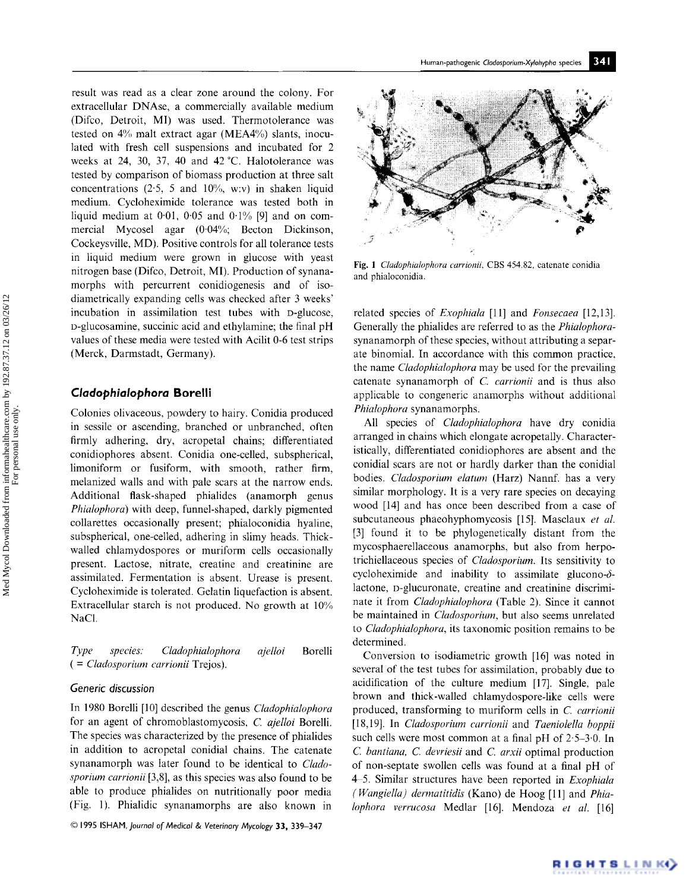result was read as a clear zone around the colony. For extracellular DNAse, a commercially available medium (Difco, Detroit, MI) was used. Thermotolerance was tested on 4% malt extract agar (MEA4%) slants, inoculated with fresh cell suspensions and incubated for 2 weeks at 24, 30, 37, 40 and 42 °C. Halotolerance was tested by comparison of biomass production at three salt concentrations  $(2.5, 5 \text{ and } 10\%, \text{ w.v})$  in shaken liquid medium. Cycloheximide tolerance was tested both in liquid medium at  $0.01$ ,  $0.05$  and  $0.1\%$  [9] and on commercial Mycosel agar  $(0.04\%;$  Becton Dickinson, Cockeysville, MD). Positive controls for all tolerance tests in liquid medium were grown in glucose with yeast nitrogen base (Difco, Detroit, MI). Production of synanamorphs with percurrent conidiogenesis and of isodiametrically expanding cells was checked after 3 weeks' incubation in assimilation test tubes with D-glucose, D-glucosamine, succinic acid and ethylamine; the final pH values of these media were tested with Acilit 0-6 test strips (Merck, Darmstadt, Germany).

## *Cladophialophora* **Borelli**

Colonies olivaceous, powdery to hairy. Conidia produced in sessile or ascending, branched or unbranched, often firmly adhering, dry, acropetal chains; differentiated conidiophores absent. Conidia one-celled, subspherical, limoniform or fusiform, with smooth, rather firm, melanized walls and with pale scars at the narrow ends. Additional flask-shaped phialides (anamorph genus *Phialophora)* with deep, funnel-shaped, darkly pigmented collarettes occasionally present; phialoconidia hyaline, subspherical, one-celled, adhering in slimy heads. Thickwalled chlamydospores or muriform cells occasionally present. Lactose, nitrate, creatine and creatinine are assimilated. Fermentation is absent. Urease is present. Cycloheximide is tolerated. Gelatin liquefaction is absent. Extracellular starch is not produced. No growth at 10% NaCI.

*Type species. Cladophialophora ajelloi* Borelli *( = Cladosporium carrionii* Trejos).

#### *Generic discussion*

In 1980 Borelli [10] described the genus *Cladophialophora*  for an agent of chromoblastomycosis, *C. ajelloi* Borelli. The species was characterized by the presence of phialides in addition to acropetal conidial chains. The catenate synanamorph was later found to be identical to *Cladosporium carrionii* [3,8], as this species was also found to be able to produce phialides on nutritionally poor media (Fig. 1). Phialidic synanamorphs are also known in

© 1995 ISHAM, *Journal of Medical & Veterinary Mycology* 33, 33%347



Fig. 1 *Cladophialophora carrionii,* CBS 454.82, catenate conidia and phialoconidia.

related species of *Exophiala* [11] and *Fonsecaea* [12,13]. Generally the phialides are referred to as the *Phialophora*synanamorph of these species, without attributing a separate binomial. In accordance with this common practice, the name *Cladophialophora* may be used for the prevailing catenate synanamorph of *C. carrionii* and is thus also applicable to congeneric anamorphs without additional *Phialophora* synanamorphs.

All species of *Cladophialophora* have dry conidia arranged in chains which elongate acropetally. Characteristically, differentiated conidiophores are absent and the conidial scars are not or hardly darker than the conidial bodies. *Cladosporium elatum* (Harz) Nannf. has a very similar morphology, it is a very rare species on decaying wood [14] and has once been described from a case of subcutaneous phaeohyphomycosis [15]. Masclaux *et al.*  [3] found it to be phylogenetically distant from the mycosphaerellaceous anamorphs, but also from herpotrichiellaceous species of *Clado~porium.* Its sensitivity to cycloheximide and inability to assimilate glucono- $\delta$ lactone, D-glucuronate, creatine and creatinine discriminate it from *Cladophialophora* (Table 2). Since it cannot be maintained in *Cladosporium,* but also seems unrelated to *Cladophialophora,* its taxonomic position remains to be determined.

Conversion to isodiametric growth [16] was noted in several of the test tubes for assimilation, probably due to acidification of the culture medium [17]. Single, pale brown and thick-walled chlamydospore-like cells were produced, transforming to muriform cells in *C. carrionii*  [18,19]. In *Cladosporium carrionii* and *Taeniolella boppii*  such cells were most common at a final pH of  $2.5-3.0$ . In *C. bantiana, C. devriesii* and *C. arxii* optimal production of non-septate swollen cells was found at a final pH of 4 5. Similar structures have been reported in *Exophiala (Wangiella) dermatitidis* (Kano) de Hoog [11] and *Phialophora verrucosa* Medlar [16]. Mendoza *et al.* [16]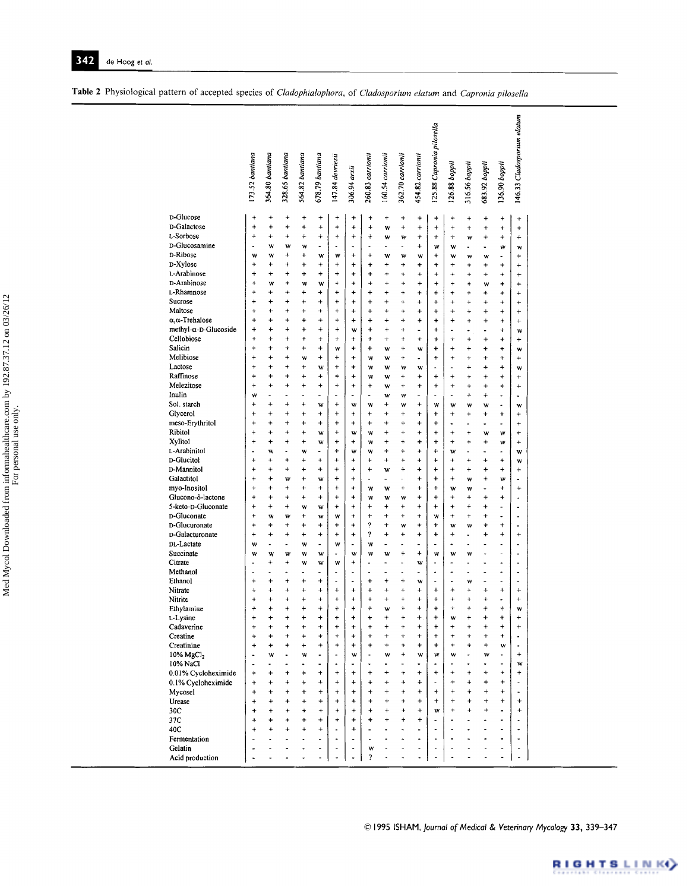|                             | 173.52 bantiana                   | 364.80 bantiana      | 328.65 bantiana        | 564.82 bantiana        | 678.79 bantiana          | 147.84 devriesii             | 306.94 arxii             | 260.83 carrionii            | 160.54 carrionii         | 362.70 carrionii           | 454.82 carrionii         | 125.88 Capronia pilosella    | 126.88 boppii            | 316.56 bappii   | 683.92 boppii               | 136.90 boppii            | 146.33 Cladosporium elatum |
|-----------------------------|-----------------------------------|----------------------|------------------------|------------------------|--------------------------|------------------------------|--------------------------|-----------------------------|--------------------------|----------------------------|--------------------------|------------------------------|--------------------------|-----------------|-----------------------------|--------------------------|----------------------------|
| D-Glucose                   | $\ddot{}$                         | $\ddot{}$            | $\ddot{}$              | $\ddot{}$              | $\ddot{}$                | +                            | +                        | $\ddot{}$                   | $\ddot{}$                | +                          | $\ddot{}$                | +                            | +                        | +               | +                           | $\ddot{}$                | $\ddot{}$                  |
| D-Galactose<br>L-Sorbose    | $\ddot{}$                         | $\ddot{}$<br>÷       | $\ddot{}$              | $\ddot{}$              | $\ddot{}$                | $\ddot{}$                    | $\ddot{}$                | $\ddot{}$                   | w                        | +                          | $\ddot{}$                | $\ddot{}$                    | $\ddot{}$                | $\ddot{}$       | $\ddot{}$                   | ÷                        | ÷                          |
| D-Glucosamine               | +<br>$\blacksquare$               |                      | ÷                      | ÷                      | $\ddot{}$                | $\ddot{}$<br>٠               | $\ddot{}$                | ÷                           | w                        | W<br>$\tilde{\phantom{a}}$ | $\ddot{}$                | $\ddot{}$                    | ÷                        | W               | $\ddot{}$                   | $\ddot{}$                | $\ddot{}$                  |
| D-Ribose                    | w                                 | w<br>w               | W<br>$\ddot{}$         | w<br>÷                 | $\blacksquare$<br>W      | w                            | ٠<br>$\ddot{}$           | $\blacksquare$<br>$\ddot{}$ | $\blacksquare$<br>W      | w                          | $\ddot{}$<br>w           | w<br>+                       | w<br>w                   | ۰               | $\overline{\phantom{0}}$    | w<br>$\blacksquare$      | W<br>$\ddot{}$             |
| D-Xylose                    | +                                 | +                    | +                      | $\ddot{}$              | $^{+}$                   | +                            | $\ddot{}$                | +                           | ÷                        | 4                          | ÷                        | $\ddot{}$                    | $\ddot{}$                | w<br>$\ddot{}$  | w<br>$\ddot{}$              | $\ddot{}$                | $\ddot{}$                  |
| L-Arabinose                 | $\ddot{}$                         | $\ddot{}$            | $\ddot{}$              | $\ddot{}$              | $\ddot{}$                | $\ddot{}$                    | $\ddot{}$                | $\ddot{}$                   | $\ddot{}$                | $\ddot{}$                  | $\ddot{}$                | $\ddot{}$                    | +                        | $\ddot{}$       | $\pmb{+}$                   | $\ddot{}$                | $\ddot{}$                  |
| D-Arabinose                 | $\ddot{}$                         | w                    | +                      | w                      | W                        | +                            | $\ddot{}$                | $\ddot{}$                   | $\ddot{}$                | ÷                          | $\ddot{}$                | $\ddot{}$                    | $\ddotmark$              | $\ddot{}$       | w                           | +                        | $\ddot{}$                  |
| L-Rhamnose                  | $\ddot{}$                         | $\ddot{}$            | $\ddot{}$              | $\ddot{}$              | $\ddot{}$                | $\ddot{}$                    | ÷                        | $\ddot{}$                   | $\ddot{}$                | $\ddot{}$                  | $\ddot{}$                | $\ddot{}$                    | +                        | $\ddot{}$       | +                           | +                        | ÷                          |
| Sucrose                     | ÷                                 | +                    | $\ddot{}$              | $\ddot{}$              | $\ddot{}$                | ÷                            | $\ddot{}$                | $\ddot{}$                   | $\ddot{}$                | +                          | $\ddot{}$                | $\ddot{}$                    | $\ddot{}$                | $\ddot{}$       | $\ddot{}$                   | $\ddot{}$                | $\ddot{}$                  |
| Maltose                     | $\ddot{}$                         | ÷                    | $\ddot{}$              | $\ddot{}$              | $\ddot{}$                | $\ddot{}$                    | $\ddot{}$                | $\ddot{}$                   | $\ddot{}$                | ÷                          | $\ddot{}$                | $\ddot{}$                    | $\pmb{+}$                | $\ddot{}$       | $\pmb{+}$                   | $\pmb{+}$                | $\ddot{}$                  |
| $\alpha, \alpha$ -Trehalose | $\ddot{}$                         | $\pmb{+}$            | $\ddot{}$              | $\ddot{}$              | $^{+}$                   | $\ddot{}$                    | $\ddot{}$                | $\ddot{}$                   | $\ddot{}$                | ÷                          | $\ddot{}$                | $\ddot{}$                    | +                        | $\ddot{}$       | $\ddot{}$                   | $\ddag$                  | $\ddot{}$                  |
| methyl-α-D-Glucoside        | 4                                 | ÷                    | $\ddot{}$              | $\ddotmark$            | $\ddot{}$                | $\ddot{}$                    | W                        | $\ddot{}$                   | $\ddot{}$                | +                          | $\overline{a}$           | ÷                            |                          |                 |                             | $\ddot{}$                | W                          |
| Cellobiose                  | $\ddot{}$                         | $\ddot{}$            | $\pmb{+}$              | +                      | $^{+}$                   | $\ddot{}$                    | $\ddot{}$                | $\ddot{}$                   | $\ddot{}$                | ÷                          | $\ddot{}$                | $\ddot{}$                    | $\ddot{}$                | $\ddot{}$       | $\ddot{}$                   | $\ddot{}$                | $\ddot{}$                  |
| Salicin                     | $\ddot{}$                         | $\ddot{}$            | $\ddot{}$              | $\ddot{}$              | $\ddot{}$                | w                            | ÷                        | $\ddot{}$                   | w                        | $\ddot{}$                  | W                        | +                            | $\ddot{}$                | $\ddot{}$       | +                           | +                        | W                          |
| Melibiose                   | $\ddot{}$                         | $\ddot{}$            | $\ddot{}$              | w                      | $\ddot{}$                | $\ddot{}$                    | $\ddot{}$                | W                           | W                        | $\ddot{}$                  | $\bullet$                | $\ddot{}$                    | $\ddot{}$                | $\ddot{}$       | $\ddot{}$                   | $\ddot{}$                | $\ddot{}$                  |
| Lactose                     | $\ddot{}$                         | $\ddot{}$            | $\ddot{}$              | $\ddot{}$              | W                        | $\ddot{}$                    | $\ddot{}$                | w                           | w                        | w                          | W                        |                              |                          | $\ddot{}$       | +                           | $\ddot{}$                | W                          |
| Raffinose                   | ÷                                 | $\ddot{}$            | $\ddot{}$              | $\ddot{}$              | $\ddot{}$                | $\ddot{}$                    | $\ddot{}$                | w                           | w                        | $\ddot{}$                  | $\ddot{}$                | $\ddot{}$                    | $\ddot{}$                | $\ddot{}$       | $\pmb{+}$                   | $\pmb{+}$                | $+$                        |
| Melezitose                  | $\ddot{}$                         | $\ddot{}$            | $\ddot{}$              | $\ddot{}$              | $\ddot{}$                | $\overline{+}$               | +                        | $\ddot{}$                   | w                        | $\ddot{}$                  | $\ddot{}$                | $\pmb{+}$                    | $\ddot{}$                | $\ddot{}$       | $\ddot{}$                   | $\ddot{}$                | $\ddot{}$                  |
| Inulin                      | w                                 |                      | $\tilde{\phantom{a}}$  | ä,                     | $\overline{\phantom{0}}$ | ٠                            | $\ddot{\phantom{0}}$     | $\overline{\phantom{a}}$    | w                        | w                          | $\overline{\phantom{0}}$ | ٠                            | ÷                        | $\ddot{}$       | $\ddot{}$                   | ٠                        | ÷                          |
| Sol. starch                 | +                                 | $\ddot{}$            | $\ddot{}$              | $\ddot{}$              | w                        | $\ddot{}$                    | w                        | W                           | $\ddot{}$                | w                          | $\pmb{+}$                | W                            | w                        | w               | w                           | $\overline{a}$           | W                          |
| Glycerol                    | $\ddot{}$                         | $\ddot{}$            | $\ddot{}$              | $\ddot{}$              | $\ddot{}$                | $\ddot{}$                    | $\ddot{}$                | $^{+}$                      | $\ddot{}$                | $\ddot{}$                  | $\ddot{}$                | $\ddot{}$                    | $\ddot{}$                | $\ddot{}$       | $\ddot{}$                   | $\ddotmark$              | $\ddot{}$                  |
| meso-Erythritol             | $\ddot{}$                         | +                    | $^{+}$                 | +                      | $\ddot{}$                | $\ddot{}$                    | $\pmb{+}$                | $\ddot{}$                   | +                        | $\ddot{}$                  | $\ddot{}$                | $\ddot{}$                    |                          | ÷               | ÷                           | L.                       | $\ddot{}$                  |
| Ribitol                     | $\ddot{}$                         | +                    | $\ddot{}$              | +                      | W                        | $\ddot{}$                    | W                        | W                           | ÷                        | $\ddot{}$                  | $\ddot{}$                | $\ddot{}$                    | $\ddot{}$                | $\ddot{}$       | w                           | W                        | $\ddot{}$                  |
| Xylitol<br>L-Arabinitol     | $\ddot{}$<br>$\ddot{\phantom{0}}$ | +                    | +<br>٠                 | ÷                      | W<br>$\blacksquare$      | +<br>$\ddot{}$               | $\pmb{+}$                | W                           | $\ddot{}$<br>$\ddot{}$   | $\ddot{}$<br>4             | $\ddot{}$<br>÷           | $\ddot{}$<br>4               | $\ddot{}$                | $\ddot{}$<br>ä. | $\ddot{}$<br>$\blacksquare$ | w<br>$\overline{a}$      | $\ddotmark$                |
| D-Glucitol                  | +                                 | w<br>+               | +                      | w<br>÷                 | $\ddot{}$                | +                            | w<br>$\ddot{}$           | w<br>$\pmb{+}$              | +                        | ÷                          | +                        | +                            | w<br>÷                   | $\ddot{}$       | $\ddot{}$                   | $\ddot{}$                | W<br>W                     |
| D-Mannitol                  | $\ddot{}$                         | $\ddot{}$            | $\ddot{}$              | $\ddot{}$              | $\ddot{}$                | $\ddot{}$                    | $\ddot{}$                | $\ddot{}$                   | W                        | 4                          | $\ddot{}$                | $\ddot{}$                    | $\ddot{}$                | $\ddot{}$       | +                           | $\ddot{}$                | $\ddot{}$                  |
| Galactitol                  | $\pmb{+}$                         | ×                    | w                      | $\ddot{}$              | W                        | $\ddot{}$                    | $\pmb{+}$                |                             | $\overline{\phantom{0}}$ |                            | ÷                        | $\ddot{}$                    | $\pmb{+}$                | w               | $\ddot{}$                   | w                        |                            |
| myo-Inositol                | $\ddot{}$                         | $\ddot{}$            | $\ddot{}$              | $\ddag$                | $\ddot{}$                | $\ddot{}$                    | $\pmb{+}$                | w                           | w                        | $\ddot{}$                  | $\ddot{}$                | $\ddot{}$                    | w                        | w               | ٠                           | $\ddot{}$                | $\ddot{}$                  |
| Glucono-8-lactone           | ÷                                 | $\ddot{}$            | $\ddot{}$              | 4                      | $\ddot{}$                | $\pmb{+}$                    | +                        | W                           | W                        | w                          | $\ddot{}$                | +                            | $\ddot{}$                | +               | +                           | $\ddot{}$                |                            |
| 5-keto-D-Gluconate          | $\ddot{}$                         | +                    | $\pmb{+}$              | w                      | w                        | +                            | $\ddot{}$                | $\ddot{}$                   | $\ddot{}$                | $\ddot{}$                  | $\ddot{}$                | $\ddot{}$                    | ÷                        | $\ddot{}$       | +                           | $\tilde{\phantom{a}}$    | $\ddot{ }$                 |
| D-Gluconate                 | +                                 | w                    | W                      | +                      | W                        | w                            | $\ddot{}$                | $\ddot{}$                   | +                        | +                          | +                        | w                            | $\ddot{}$                | $\pmb{+}$       | +                           | $\overline{\phantom{0}}$ | ٠                          |
| D-Glucuronate               | $\ddot{}$                         | +                    | $\ddot{}$              | $\ddot{}$              | $\ddot{}$                | $\ddot{}$                    | $\ddot{}$                | ?                           | $\ddot{}$                | w                          | $\ddot{}$                | $\ddot{}$                    | w                        | w               | +                           | $^{+}$                   | $\blacksquare$             |
| D-Galacturonate             | +                                 | $\pmb{+}$            | $\pmb{+}$              | $\ddot{}$              | $\pmb{+}$                | +                            | $\ddot{}$                | 2                           | $\ddot{}$                | +                          | +                        | $\ddot{}$                    | $\ddot{}$                |                 | +                           | $\ddot{}$                | $\ddot{}$                  |
| DL-Lactate                  | w                                 | $\ddot{\phantom{0}}$ | $\blacksquare$         | w                      | $\blacksquare$           | w                            | $\ddot{\phantom{0}}$     | W                           | $\overline{\phantom{0}}$ | ÷.                         | $\blacksquare$           | ٠                            | ÷                        | $\blacksquare$  | $\overline{a}$              | $\blacksquare$           | $\ddot{\phantom{0}}$       |
| Succinate                   | w                                 | w                    | W                      | w                      | w                        |                              | w                        | w                           | w                        | $\ddot{}$                  | $\ddot{}$                | w                            | W                        | w               |                             | $\overline{a}$           | ٠                          |
| Citrate                     | ٠                                 | +                    | $\ddot{}$              | w                      | w                        | w                            | $\ddot{}$                | ÷                           | $\blacksquare$           | ÷.                         | w                        | ٠                            | ÷                        | ÷               | ä,                          | $\bullet$                | $\blacksquare$             |
| Methanol                    | ٠                                 |                      | ä,                     | $\ddot{\phantom{0}}$   | $\overline{a}$           |                              | ٠                        | ÷                           |                          | ٠                          | ÷,                       | ٠                            | ÷                        | ٠               |                             |                          | $\blacksquare$             |
| Ethanol                     | $\ddot{}$                         | $\pmb{+}$            | ÷                      | $\ddot{}$              | $\ddot{}$                | ٠                            | ٠                        | $\ddot{}$                   | $\ddot{}$                | $+$                        | w                        | ٠                            |                          | w               |                             | $\overline{\phantom{a}}$ | $\overline{a}$             |
| Nitrate                     | $\ddot{}$                         | $\ddag$<br>$\ddot{}$ | $\pmb{+}$<br>$\ddot{}$ | $\ddot{}$<br>$\ddot{}$ | $\ddot{}$<br>$\ddot{}$   | $\ddot{}$<br>$\ddot{}$       | $\ddot{}$<br>$\ddot{}$   | +<br>$\ddot{}$              | +<br>$\ddot{}$           | +<br>4                     | +<br>$\ddot{}$           | $\ddot{}$<br>$\ddot{}$       | +<br>÷                   | 4<br>$\ddot{}$  | $\ddot{}$<br>$\ddot{}$      | $\ddot{}$<br>ä,          | $\ddot{}$<br>$\ddot{}$     |
| Nitrite<br>Ethylamine       | $\ddot{}$<br>$\ddot{}$            | ÷                    | ÷                      | ÷                      | $\ddot{}$                | ÷                            | ÷                        | $\ddot{}$                   | w                        | ÷                          | $\ddag$                  | $\ddot{}$                    | ÷                        | $\ddot{}$       | $\ddot{}$                   | $\ddot{}$                | w                          |
| L-Lysine                    | $\ddot{}$                         |                      |                        | +                      | $\ddot{}$                | $\ddot{}$                    | ÷                        |                             | $\ddot{}$                | $\ddot{}$                  | $\ddot{}$                | $\ddot{}$                    | w                        | $\ddot{}$       | <sup>+</sup>                | $\ddot{ }$               | ÷                          |
| Cadaverine                  | $\pmb{+}$                         | $\pmb{+}$            | +                      | +                      | $\ddot{}$                | +                            | $\ddot{}$                | +                           | $\pmb{+}$                | $\ddot{}$                  | $\ddot{}$                | $\ddot{}$                    | $\pmb{+}$                | $\ddot{}$       | +                           | $\ddot{}$                | $\ddot{}$                  |
| Creatine                    | $\ddot{}$                         | $\ddot{}$            | $\ddot{}$              | $\ddot{}$              | $\ddot{}$                | $\ddot{}$                    | $\ddot{}$                | $\ddot{}$                   | $\ddot{}$                | $\ddot{}$                  | $\ddot{}$                | $\ddot{}$                    | $\ddot{}$                | $\ddot{}$       | $\ddot{}$                   | $\ddot{}$                | ٠                          |
| Creatinine                  | $\ddot{}$                         | $\ddot{}$            | $\ddot{}$              | $\ddot{}$              | $\ddot{}$                | $\ddot{}$                    | $\ddot{}$                | $\ddot{}$                   | $\ddot{}$                | $\ddot{}$                  | $\ddot{}$                | $\ddot{}$                    | $\ddot{}$                | $\ddot{}$       | $\ddot{}$                   | w                        | $\bullet$                  |
| 10% MgCl <sub>2</sub>       | $\blacksquare$                    | w                    | $\blacksquare$         | w                      | $\overline{\phantom{a}}$ | $\overline{\phantom{0}}$     | w                        |                             | w                        | $\ddot{}$                  | w                        | w                            | w                        |                 | w                           | ٠                        | $\ddot{}$                  |
| 10% NaCl                    | ٠                                 | ä,                   | $\tilde{\phantom{a}}$  | ٠                      | $\overline{\phantom{a}}$ | $\bullet$                    | $\overline{\phantom{m}}$ | $\blacksquare$              | $\qquad \qquad \bullet$  | ä,                         | $\blacksquare$           | $\bullet$                    | $\overline{a}$           | ٠               | $\ddot{\phantom{0}}$        | $\overline{\phantom{a}}$ | W                          |
| 0.01% Cycloheximide         | $\ddot{}$                         | $\pmb{+}$            | +                      | $\ddot{}$              | $\pmb{+}$                | $\ddot{}$                    | $\ddot{}$                | $\ddot{}$                   | $\ddot{}$                | $\ddot{}$                  | $\ddot{}$                | $\ddot{}$                    | +                        | $\ddot{}$       | +                           | $\ddot{}$                | $\ddot{}$                  |
| 0.1% Cycloheximide          | <sup>+</sup>                      | $\ddot{}$            | $\ddot{}$              | $\ddot{}$              | $\ddot{}$                | $\ddot{}$                    | $\ddot{}$                | +                           | $\ddot{}$                | +                          | ÷                        | $\blacksquare$               | $\ddot{}$                | $\ddot{}$       | $\ddot{}$                   | $\ddot{}$                | ٠                          |
| Mycosel                     | $\ddot{}$                         | $\ddot{}$            | $\ddot{}$              | $\ddot{}$              | $\ddot{}$                | $\ddot{}$                    | $\ddot{}$                | $\ddot{}$                   | +                        | $\ddot{}$                  | $\ddot{}$                | $\ddot{}$                    | $\ddot{}$                | $\ddot{}$       | $\ddag$                     | +                        | ä,                         |
| Urease                      | $\ddot{}$                         | $\ddot{}$            | $\ddotmark$            | $\ddot{}$              | $\ddot{}$                | $\ddot{}$                    | $\ddot{}$                | $\ddot{}$                   | $\ddot{}$                | $\ddot{}$                  | $\ddot{}$                | $\ddot{}$                    | $\ddot{}$                | $\ddot{}$       | $\ddot{}$                   | $\ddot{}$                | $^{+}$                     |
| 30C                         | $\ddot{}$                         | +                    | $\ddot{}$              | $\ddot{}$              | $\ddot{}$                | $\ddot{}$                    | $\ddot{}$                | $\ddot{}$                   | $\ddot{}$                | $\ddot{}$                  | $\ddot{}$                | W                            | +                        | $\ddot{}$       | +                           | $\blacksquare$           | $\ddot{}$                  |
| 37C                         | $\ddot{}$                         | +                    | $\ddot{}$              | $\ddot{}$              | $\ddot{}$                | $\ddot{}$                    | $\ddot{}$                | $\ddot{}$                   | $\ddot{}$                | $\ddot{}$                  | $\ddot{}$                | $\qquad \qquad \blacksquare$ | $\overline{\phantom{a}}$ | $\overline{a}$  |                             | $\blacksquare$           | $\centerdot$               |
| 40C                         | $^{+}$                            | $\ddot{}$            | $\ddot{}$              | $\ddot{}$              | $+$                      | $\blacksquare$               | $\ddot{}$                | $\blacksquare$              |                          | $\overline{\phantom{a}}$   | $\sim$                   | $\blacksquare$               |                          |                 |                             | ۰                        | ä,                         |
| Fermentation                |                                   | ä,                   | $\blacksquare$         | ä,                     | $\blacksquare$           | $\qquad \qquad \blacksquare$ | ٠                        | $\overline{\phantom{a}}$    |                          | ٠                          | $\overline{\phantom{a}}$ | $\overline{\phantom{a}}$     | ÷                        | $\overline{a}$  |                             | ٠                        | $\blacksquare$             |
| Gelatin                     |                                   | ä,                   | ٠                      | $\ddot{\phantom{0}}$   | $\bullet$                | $\overline{\phantom{a}}$     | ÷                        | w                           |                          | ä,                         | ä,                       | ٠                            |                          |                 | ä,                          | $\overline{\phantom{0}}$ | $\ddot{\phantom{0}}$       |
| Acid production             |                                   |                      |                        |                        |                          |                              |                          | ?                           |                          |                            |                          | $\overline{\phantom{a}}$     |                          |                 |                             | ä,                       | $\overline{\phantom{a}}$   |

|  |  |  |  |  |  |  | Table 2 Physiological pattern of accepted species of Cladophialophora, of Cladosporium elatum and Capronia pilosella |  |  |
|--|--|--|--|--|--|--|----------------------------------------------------------------------------------------------------------------------|--|--|
|--|--|--|--|--|--|--|----------------------------------------------------------------------------------------------------------------------|--|--|

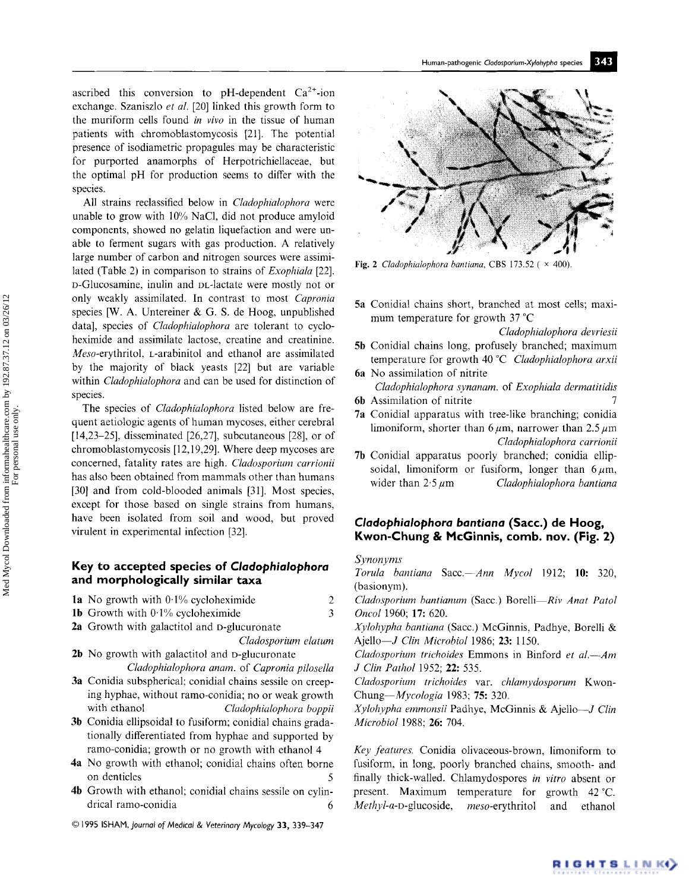ascribed this conversion to pH-dependent  $Ca^{2+}$ -ion exchange. Szaniszlo *et al.* [20] linked this growth form to the muriform cells found *in vivo* in the tissue of human patients with chromoblastomycosis [21]. The potential presence of isodiametric propagules may be characteristic for purported anamorphs of Herpotrichiellaceae, but the optimal pH for production seems to differ with the species.

All strains reclassified below in *Cladophialophora* were unable to grow with 10% NaC1, did not produce amyloid components, showed no gelatin liquefaction and were unable to ferment sugars with gas production. A relatively large number of carbon and nitrogen sources were assimilated (Table 2) in comparison to strains of *Exophiala* [22]. D-Glucosamine, inulin and DL-lactate were mostly not or only weakly assimilated. In contrast to most *Capronia*  species [W. A. Untereiner & G. S. de Hoog, unpublished data], species of *Cladophialophora* are tolerant to cycloheximide and assimilate lactose, creatine and creatinine. *Meso-erythritol,* L-arabinitol and ethanol are assimilated by the majority of black yeasts [22] but are variable within *Cladophialophora* and can be used for distinction of species.

The species of *Cladophialophora* listed below are frequent aetiologic agents of human mycoses, either cerebral [14,23-25], disseminated [26,27], subcutaneous [28], or of chromoblastomycosis [12,19,29]. Where deep mycoses are concerned, fatality rates are high. *Cladosporium carrionii*  has also been obtained from mammals other than humans [30] and from cold-blooded animals [31]. Most species, except for those based on single strains from humans, have been isolated from soil and wood, but proved virulent in experimental infection [32].

# **Key to accepted species of** *Cladophialophora*  **and morphologically similar taxa**

- **1a** No growth with  $0.1\%$  cycloheximide 2
- **1b** Growth with  $0.1\%$  cycloheximide 3
- 2a Growth with galactitol and D-glucuronate

*Cladosporium datum* 

- 2b No growth with galactitol and D-glucuronate *Cladophialophora anam.* of *Capronia pih)sella*
- 3a Conidia subspherical; conidial chains sessile on creeping hyphae, without ramo-conidia; no or weak growth with ethanol *Cladophialophora boppii*
- 3b Conidia ellipsoidal to fusiform; conidial chains gradationally differentiated from hyphae and supported by ramo-conidia; growth or no growth with ethanol 4
- 4a No growth with ethanol; conidial chains often borne on denticles
- 4h Growth with ethanol; conidial chains sessile on cylindrical ramo-conidia 6
- © 1995 ISHAM, *Journal of Medical & Veterinary Mycology* 33, 339-347



Fig. 2 *Cladophialophora bantiana*, CBS 173.52 ( $\times$  400).

5a Conidial chains short, branched at most cells; maximum temperature for growth 37 °C

*Cladophialophora devriesii* 

- 5h Conidial chains long, profusely branched; maximum temperature for growth 40 °C *Cladophialophora arxii*
- 6a No assimilation of nitrite *Cladophialophora synanam,* of *Exophiala dermatitidis*
- 6b Assimilation of nitrite 7
- 7a Conidial apparatus with tree-like branching; conidia limoniform, shorter than 6  $\mu$ m, narrower than 2.5  $\mu$ m *Cladophialophora carrionii*
- 7h Conidial apparatus poorly branched; conidia ellipsoidal, limoniform or fusiform, longer than  $6 \mu m$ , wider than  $2.5 \mu$ m *Cladophialophora bantiana*

# *Cladophialophora bantiana* **(Sacc.) de Hoog, Kwon-Chung & McGinnis, comb. nov. (Fig. 2)**

### *Synonyms*

*Torula bantiana Sacc.--Ann Mycol* 1912; 10: 320, (basionym).

*Cladosporium bantianum* (Sacc.) Borelli-Riv Anat Patol *Oncol* 1960; 17: 620.

*Xylohypha bantiana* (Sacc.) McGinnis, Padhye, Borelli & Ajello--J *Clin Microbiol* 1986; 23:1150.

*Cladosporium trichoides* Emmons in Binford *et al.*—Am *J Clin Pathol 1952*; 22: 535.

*Cladosporium trichoides* var. *chlamydosporum* Kwon-*Chung--Mycologia* 1983; 75: 320.

*Xylohypha emmonsii* Padhye, McGinnis & Ajello--J *Clin Microbiol* 1988; 26: 704.

*Key features.* Conidia olivaceous-brown, limoniform to fusiform, in long, poorly branched chains, smooth- and finally thick-walled. Chlamydospores *in vitro* absent or present. Maximum temperature for growth 42°C. *Methyl-a-D-glucoside, meso-erythritol* and ethanol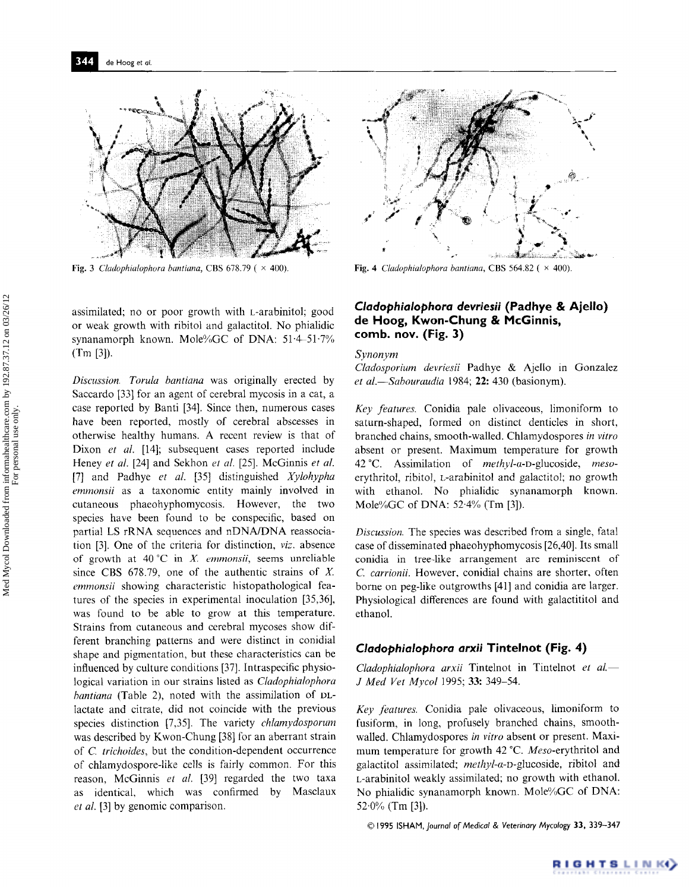

Fig. 3 *Cladophialophora bantiana*, CBS 678.79 ( $\times$  400).

assimilated; no or poor growth with L-arabinitol; good or weak growth with ribitol and galactitol. No phialidic synanamorph known. Mole%GC of DNA: 51-4-51.7% (Tm [3]).

*Discussion. Torula bantiana* was originally erected by Saccardo [33] for an agent of cerebral mycosis in a cat, a case reported by Banti [34]. Since then, numerous cases have been reported, mostly of cerebral abscesses in otherwise healthy humans. A recent review is that of Dixon *et al.* [14]; subsequent cases reported include Heney *et al.* [24] and Sekhon *et al.* [25]. McGinnis *et al.*  [7] and Padhye *et al.* [35] distinguished *Xylohypha emmonsii* as a taxonomic entity mainly involved **in**  cutaneous phaeohyphomycosis. However, the two species have been found to be conspecific, based on partial LS rRNA sequences and nDNA/DNA reassociation [3]. One of the criteria for distinction, *viz.* absence of growth at 40 °C **in** X. *emmonsii,* seems unreliable since CBS  $678.79$ , one of the authentic strains of X. *emmonsii* showing characteristic histopathological features of the species in experimental inoculation [35,36], was found to be able to grow at this temperature. Strains from cutaneous and cerebral mycoses show different branching patterns and were distinct in conidial shape and pigmentation, but these characteristics can be influenced by culture conditions [37]. Intraspecific physiological variation in our strains listed as *Cladophialophora bantiana* (Table 2), noted with the assimilation of DLlactate and citrate, did not coincide with the previous species distinction [7,35]. The variety *chlamydosporum*  was described by Kwon-Chung [38] for an aberrant strain of *C. trichoides,* but the condition-dependent occurrence of chlamydospore-like ceils is fairly common. For this reason, McGinnis *et al.* [39] regarded the two taxa as identical, which was confirmed by Masclaux *et al.* [3] by genomic comparison.



Fig. 4 *Cladophialophora bantiana*, CBS 564.82 ( $\times$  400).

# *Cladophialophora devriesii* **(Padhye & Ajello) de I-Ioog, Kwon-Chung & McGinnis, comb. nov. (Fig. 3)**

#### *Synonym*

*Cladosporium devriesii* Padhye & Ajello in Gonzalez *et al.--Sabouraudia* 1984; 22:430 (basionym).

*Key features.* Conidia pale olivaceous, limoniform to saturn-shaped, formed on distinct denticles in short, branched chains, smooth-walled. Chlamydospores *in vitro*  absent or present. Maximum temperature for growth 42°C. Assimilation of *methyl-a-D-glucoside, meso*erythritol, ribitol, *L*-arabinitol and galactitol; no growth with ethanol. No phialidic synanamorph known. Mole%GC of DNA: 52.4% (Tm [3]).

*Discussion.* The species was described from a single, fatal case of disseminated phaeohyphomycosis [26,40]. Its small conidia in tree-like arrangement are reminiscent of *C. carrionii.* However, conidial chains are shorter, often borne on peg-like outgrowths [41] and conidia are larger. Physiological differences are found with galactititol and ethanol.

## *Cladophialophora arxii* **Tintelnot (Fig. 4)**

*Cladophialophora arxii* Tintelnot in Tintelnot *et al. J Med Vet Mycol* 1995; 33: 349-54.

*Key features.* Conidia pale olivaceous, limoniform to fusiform, in long, profusely branched chains, smoothwalled. Chlamydospores *in vitro* absent or present. Maximum temperature for growth 42 °C. *Meso-erythritol* and galactitol assimilated; *methyl-a-D-glucoside,* ribitol and L-arabinitol weakly assimilated; no growth with ethanol. No phialidic synanamorph known. Mole%GC of DNA:  $52.0\%$  (Tm [3]).

**© 1995 ISHAM,** *Journal of Medical & Veterinary Mycology* **33, 339-347**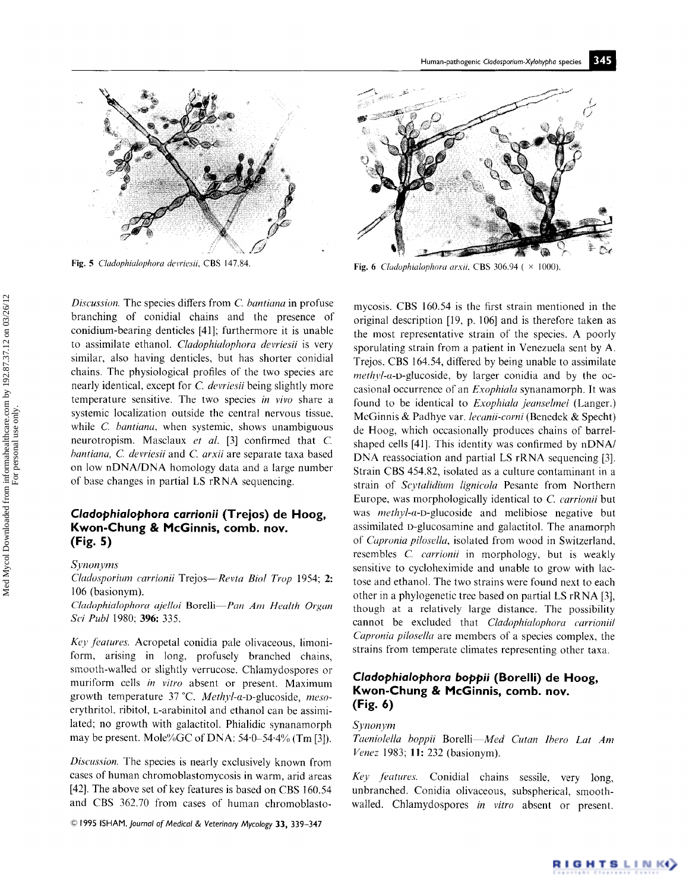

*Discussion.* The species differs from *C bantiana* in profuse branching of conidial chains and the presence of conidium-bearing denticles [41]; furthermore it is unable to assimilate ethanol. *Cladophialophora devriesii* is very similar, also having denticles, but has shorter conidial chains. The physiological profiles of the two species are nearly identical, except for *C devries'ii* being slightly more temperature sensitive. The two species *in vivo* share a systemic localization outside the central nervous tissue, while *C. bantiana,* when systemic, shows unambiguous neurotropism. Masclaux *et al.* [3] confirmed that C. *bantiana, C. devriesii* and *C. arxii* are separate taxa based on low nDNA/DNA homology data and a large number of base changes in partial LS rRNA sequencing.

# *Cladophialophora carrionii* **(Trejos) de Hoog, Kwon-Chung & McGinnis, comb. nov. (Fig. 5)**

*Synonyms* 

*Chutos'porium carrionii Trejos--Revta Biol Trop* 1954; 2: 106 (basionym). *Cladophialophora ajelloi* Borelli-*Pan Am Health Organ Sei Publ* 1980; 396: 335.

Key features. Acropetal conidia pale olivaceous, limoniform, arising in long, profusely branched chains, smooth-walled or slightly verrucose. Chlamydospores or muriform cells *in vitro* absent or present. Maximum growth temperature 37 °C. *Methyl-a-D-glucoside, meso*erythritol, ribitol, L-arabinitol and ethanol can be assimilated; no growth with galactitol. Phialidic synanamorph may be present. Mole%GC of DNA: 54.0-54.4% (Tm [3]).

*Discussion.* The species is nearly exclusively known from cases of human chromoblastomycosis in warm, arid areas [42]. The above set of key features is based on CBS 160.54 and CBS 362.70 from cases of human chromoblasto-

¢~ 1995 ISHAM, *Journal of Medical & Veterinary Mycology* **33,** 339-347



Fig. 5 *Cladophialophora devriesii*, CBS 147.84. Fig. 6 *Cladophialophora arxii*, CBS 306.94 ( $\times$  1000).

mycosis. CBS 160.54 is the first strain mentioned in the original description [19, p. 106] and is therefore taken as the most representative strain of the species. A poorly sporulating strain from a patient in Venezuela sent by A. Trejos, CBS 164.54, differed by being unable to assimilate *methyl-a-*D-glucoside, by larger conidia and by the occasional occurrence of an *Exophiala* synanamorph. It was found to be identical to *Exophiala jeanselmei* (Langer.) McGinnis & Padhye var. *lecanii-corni* (Benedek & Specht) de Hoog, which occasionally produces chains of barrelshaped cells [41]. This identity was confirmed by nDNA/ DNA reassociation and partial LS rRNA sequencing [3]. Strain CBS 454.82, isolated as a culture contaminant in a strain of *Scytalidium lignicola* Pesante from Northern Europe, was morphologically identical to C. *carrionii* but was *methyl-a-D-glucoside* and melibiose negative but assimilated D-glucosamine and galactitol. The anamorph of *Capronia pilosella,* isolated from wood in Switzerland, resembles *C. carrionii* in morphology, but is weakly sensitive to cycloheximide and unable to grow with lactose and ethanol. The two strains were found next to each other in a phylogenetic tree based on partial LS rRNA [3], though at a relatively large distance. The possibility cannot be excluded that *Cladophiah)phora carrionii/ Capronia pilosella* are members of a species complex, the strains from temperate climates representing other taxa.

# *Cladophialophora boppii* **(Borelli) de Hoog, Kwon-Chung & McGinnis, comb. nov. (Fig. 6)**

## *Synonym*

*Taeniolella boppii Borelli--Med Cutan Ibero Lat Am Venez* 1983; 11:232 (basionym).

*Key Jeatures.* Conidial chains sessile, very long, unbranched. Conidia olivaceous, subspherical, smoothwalled. Chlamydospores *in vitro* absent or present.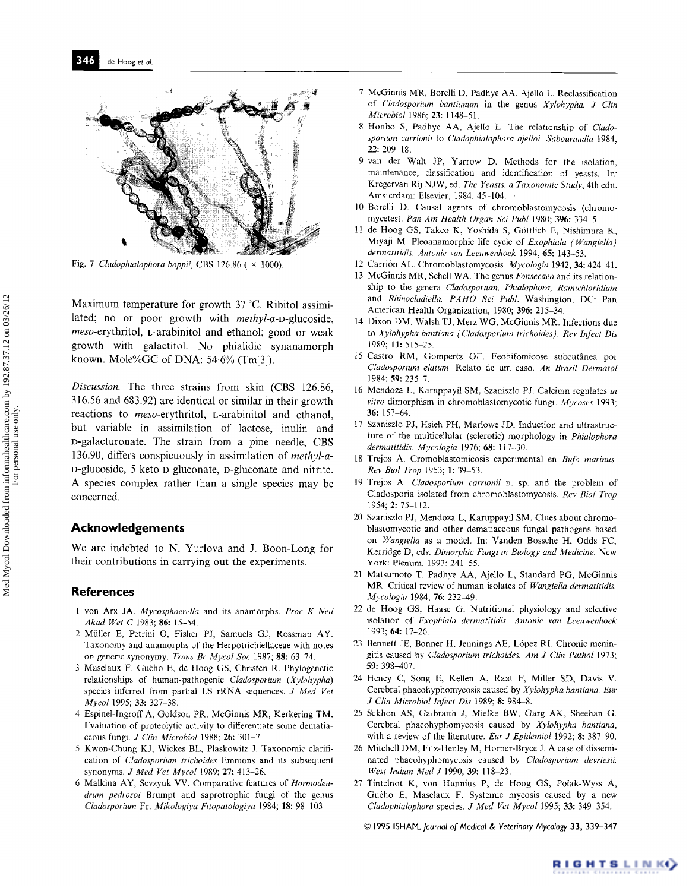

Fig. 7 *Cladophialophora boppii*, CBS 126.86 ( × 1000).

**Maximum temperature for growth 37 °C. Ribitol assimilated; no or poor growth with** *methyl-a-D-glucoside, meso-erythritol,* **L-arabinitol and ethanol; good or weak growth with galactitol. No phialidic synanamorph**  known. Mole%GC of DNA: 54.6% (Tm[3]).

*Discussion.* The three strains from skin (CBS 126.86, 316.56 and 683.92) are identical or similar in their growth reactions to *meso-erythritol,* L-arabinitol and ethanol, but variable in assimilation of lactose, inulin and D-galacturonate. The strain from a pine needle, CBS 136.90, differs conspicuously in assimilation of *methyl-a-*D-glucoside, 5-keto-D-gluconate, D-gluconate and nitrite. A species complex rather than a single species may be concerned.

#### **Acknowledgements**

We are indebted to N. Yurlova and J. Boon-Long for their contributions in carrying out the experiments.

## **References**

- 1 von Arx JA. *Mycosphaerella* and its anamorphs. Proc K Ned *Akad Wet C* 1983; 86: 15-54.
- 2 Müller E, Petrini O, Fisher PJ, Samuels GJ, Rossman AY. Taxonomy and anamorphs of the Herpotrichiellaceae with notes on generic synonymy. *Trans Br Mycol Soc* 1987; 88: 63-74.
- 3 Masclaux F, Gu6ho E, de Hoog GS, Christen R. Phylogenetic relationships of human-pathogenic *Cladosporium (Xylohypha)* species inferred from partial LS rRNA sequences. *3 Med Vet Mycol* 1995; 33: 327-38.
- 4 Espinel-Ingroff A, Goldson PR, McGinnis MR, Kerkering TM. Evaluation of proteolytic activity to differentiate some dematiaceous fungi. *J Clin Microbiol* 1988; 26: 301-Z
- 5 Kwon-Chung KJ, Wickes BL, Plaskowitz J. Taxonomic clarification of *Cladosporium trichoides* Emmons and its subsequent synonyms. *J Med Vet Myeol* 1989; 27: 413-26.
- 6 Malkina AY, Sevzyuk VV. Comparative features of *Hormoden-* 27 *drum pedrosoi* Brumpt and saprotrophic fungi of the genus *Cladosporium* Fr. *Mikologlya Fitopatologiya* 1984; 18:98 103.
- 7 McGinnis MR, Borelli D, Padhye AA, Ajello L. Reclassification of *Cladosporium bantianum* in the genus *Xylohypha. J Clin Microbiol* 1986; 23:1148-51.
- 8 Honbo S, Padhye AA, Ajello L. The relationship of *Cladosporium carrionii* to *Cladophialophora ajelloi. Sabouraudia* 1984; 22: 209-18.
- 9 van der Walt JP, Yarrow D. Methods for the isolation, maintenance, classification and identification of yeasts. In: Kregervan Rij NJW, ed. *The Yeasts, a Taxonomic Study,* 4th edn. Amsterdam: Elsevier, 1984: 45-104.
- 10 Borelli D. Causal agents of chromoblastomycosis (chromomycetes). *Pan Am Health Organ Sci Publ* 1980; 396: 334-5.
- 11 de Hoog GS, Takeo K, Yoshida S, G6ttlich E, Nishimura K, Miyaji M. Pleoanamorphic life cycle of *Exophiala (Wangiella) dermatitidis. Antonie van Leeuwenhoek* 1994; 65: 143-53.
- Carridn AL. Chromoblastomycosis. *Mycologia* 1942; 34: 424-41. 12
- McGinnis MR, Schell WA. The genus *Fonsecaea* and its relation-13 ship to the genera *Cladosporium, Phialophora, Ramiehloridium*  and *Rhinocladiella. PAHO Sci Publ.* Washington, DC: Pan American Health Organization, 1980; 396: 215-34.
- 14 Dixon DM, Walsh TJ, Merz WG, McGinnis MR. Infections due to *Xylohypha bantiana ( Cladosporium trichoides). Rev Inject Dis*  1989; 11: 515-25.
- 15 Castro RM, Gompertz OF. Feohifomicose subcutânea por *Cladosporium elatum.* Relato de um caso. *An Brasil Dermatol*  1984; 59: 235-7.
- Mendoza L, Karuppayil SM, Szaniszlo PJ. Calcium regulates *in*  16 *vitro* dimorphism in chromoblastomycotic fungi. *Mycoses* 1993; 36: 157-64.
- Szaniszlo PJ, Hsieh PH, Marlowe JD. Induction and ultrastruc-17 ture of the multicetlular (sclerotic) morphology in *Phialophora*  dermatitidis. Mycologia 1976; 68: 117-30.
- Trejos A. Cromoblastomicosis experimental en *Bufo marinus.*  18 *Rev Biol Trop* 1953; 1: 39-53.
- Trejos A\_ *Cladosporium carrionii* n. sp. and the problem of 19 Cladosporia isolated from chromoblastomycosis. *Rev Biol Trop*  1954; 2:75-112.
- 20 Szaniszlo PJ, Mendoza L, Karuppayil SM. Clues about chromoblastomycotic and other dematiaceous fungal pathogens based on *Wangiella* as a model. In: Vanden Bossche H, Odds FC, Kerridge D, eds. *Dimorphic Fungi in Biology and Medicine.* New York: Plenum, 1993: 241-55.
- Matsumoto T, Padhye AA, Ajello L, Standard PG, McGinnis 21 MR. Critical review of human isolates of *Wangiella dermatitidis. Mycologia* 1984; 76: 232-49.
- 22 de Hoog GS, Haase G. Nutritional physiology and selective isolation of *Exophiala dermatitidis. Antonie van Leeuwenhoek*  1993; 64: 17-26.
- 23 Bennett JE, Bonner H, Jennings AE, López RI. Chronic meningitis caused by *Cladosporium triehoides. Am J Clin Pathol* 1973; 59: 398-407,
- Heney C, Song E, Kellen A, Raal F, Miller SD, Davis V. Cerebral phaeohyphomycosis caused by *XyIohypha bantiana. Eur J Clin Microbiol lnJect Dis* 1989; 8: 984-8.
- 25 Sekhon AS, Galbraith J, Mielke BW, Garg AK, Sheehan G. Cerebral phaeohyphomycosis caused by *Xylohypha bantiana,*  with a review of the literature. *Eur J Epidemiol* 1992; 8: 387-90.
- 26 Mitchell DM, Fitz-Henley M, Horner-Bryce J. A case of disseminated phaeohyphomycosis caused by *Cladosporium devriesii. West Indian Med J* 1990; 39: 118-23.
- Tintelnot K, von Hunnius P, de Hoog GS, Polak-Wyss A, Guého E, Masclaux F. Systemic mycosis caused by a new *Cladophialophora* species. *J Med Vet Mycol* 1995; 33:349 354.

© 1995 *ISHAM~Journol of Medical & Veterinary Mycology* 33, 339-347